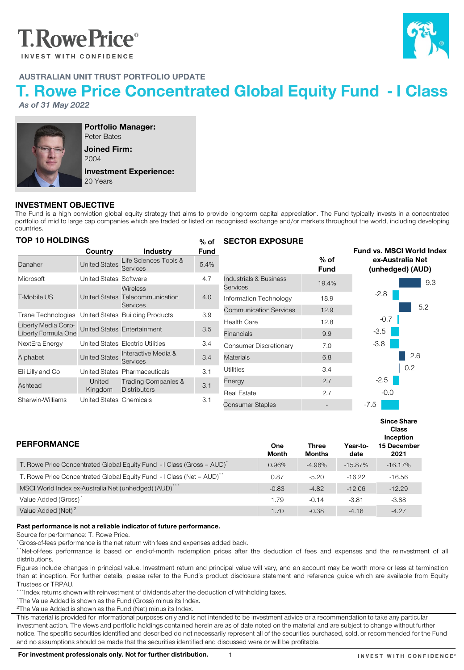# **T.RowePrice**®

**INVEST WITH CONFIDENCE** 



# AUSTRALIAN UNIT TRUST PORTFOLIO UPDATE

# T. Rowe Price Concentrated Global Equity Fund - I Class

*As of 31 May 2022*



Portfolio Manager: Peter Bates Joined Firm: 2004

Investment Experience: 20 Years

### INVESTMENT OBJECTIVE

The Fund is a high conviction global equity strategy that aims to provide long-term capital appreciation. The Fund typically invests in a concentrated portfolio of mid to large cap companies which are traded or listed on recognised exchange and/or markets throughout the world, including developing countries.

| <b>TOP 10 HOLDINGS</b> |                               |                                        | $%$ of      | <b>SECTOR EXPOSURE</b>        |                       |        |                                      |
|------------------------|-------------------------------|----------------------------------------|-------------|-------------------------------|-----------------------|--------|--------------------------------------|
|                        | Country                       | <b>Industry</b>                        | <b>Fund</b> |                               |                       |        | <b>Fund vs. MSCI World Index</b>     |
| Danaher                | <b>United States</b>          | Life Sciences Tools &<br>Services      | 5.4%        |                               | $%$ of<br><b>Fund</b> |        | ex-Australia Net<br>(unhedged) (AUD) |
| Microsoft              | <b>United States Software</b> |                                        | 4.7         | Industrials & Business        | 19.4%                 |        | 9.3                                  |
|                        |                               | <b>Wireless</b>                        |             | Services                      |                       |        |                                      |
| <b>T-Mobile US</b>     |                               | United States Telecommunication        | 4.0         | Information Technology        | 18.9                  | $-2.8$ |                                      |
|                        |                               | Services                               |             | <b>Communication Services</b> | 12.9                  |        | 5.2                                  |
| Trane Technologies     |                               | United States Building Products        | 3.9         |                               |                       | $-0.7$ |                                      |
| Liberty Media Corp-    |                               | United States Entertainment            | 3.5         | Health Care                   | 12.8                  |        |                                      |
| Liberty Formula One    |                               |                                        |             | <b>Financials</b>             | 9.9                   | $-3.5$ |                                      |
| NextEra Energy         |                               | United States Electric Utilities       | 3.4         | Consumer Discretionary        | 7.0                   | $-3.8$ |                                      |
| Alphabet               | <b>United States</b>          | Interactive Media &<br><b>Services</b> | 3.4         | <b>Materials</b>              | 6.8                   |        | 2.6                                  |
| Eli Lilly and Co       |                               | United States Pharmaceuticals          | 3.1         | Utilities                     | 3.4                   |        | 0.2                                  |
| Ashtead                | United                        | <b>Trading Companies &amp;</b>         | 3.1         | Energy                        | 2.7                   | $-2.5$ |                                      |
|                        | Kingdom                       | <b>Distributors</b>                    |             | <b>Real Estate</b>            | 2.7                   | $-0.0$ |                                      |
| Sherwin-Williams       | United States Chemicals       |                                        | 3.1         |                               |                       |        |                                      |
|                        |                               |                                        |             | <b>Consumer Staples</b>       |                       | -7.5   |                                      |

| <b>PERFORMANCE</b>                                                                | One<br>Month | <b>Three</b><br>Months | Year-to-<br>date | <b>Since Share</b><br><b>Class</b><br>Inception<br>15 December<br>2021 |
|-----------------------------------------------------------------------------------|--------------|------------------------|------------------|------------------------------------------------------------------------|
| T. Rowe Price Concentrated Global Equity Fund - I Class (Gross – AUD)             | 0.96%        | $-4.96%$               | $-15.87\%$       | $-16.17%$                                                              |
| T. Rowe Price Concentrated Global Equity Fund - I Class (Net - AUD) <sup>**</sup> | 0.87         | $-5.20$                | $-16.22$         | $-16.56$                                                               |
| MSCI World Index ex-Australia Net (unhedged) (AUD) <sup>**</sup>                  | $-0.83$      | $-4.82$                | $-12.06$         | $-12.29$                                                               |
| Value Added (Gross) <sup>1</sup>                                                  | 1.79         | $-0.14$                | $-3.81$          | $-3.88$                                                                |
| Value Added (Net) <sup>2</sup>                                                    | 1.70         | $-0.38$                | $-4.16$          | $-4.27$                                                                |

#### Past performance is not a reliable indicator of future performance.

Source for performance: T. Rowe Price.

\*Gross-of-fees performance is the net return with fees and expenses added back.

\*\*Net-of-fees performance is based on end-of-month redemption prices after the deduction of fees and expenses and the reinvestment of all distributions.

Figures include changes in principal value. Investment return and principal value will vary, and an account may be worth more or less at termination than at inception. For further details, please refer to the Fund's product disclosure statement and reference guide which are available from Equity Trustees or TRPAU.

\*\*\*Index returns shown with reinvestment of dividends after the deduction of withholding taxes.

<sup>1</sup>The Value Added is shown as the Fund (Gross) minus its Index.

<sup>2</sup>The Value Added is shown as the Fund (Net) minus its Index.

This material is provided for informational purposes only and is not intended to be investment advice or a recommendation to take any particular investment action. The views and portfolio holdings contained herein are as of date noted on the material and are subject to change without further notice. The specific securities identified and described do not necessarily represent all of the securities purchased, sold, or recommended for the Fund and no assumptions should be made that the securities identified and discussed were or will be profitable.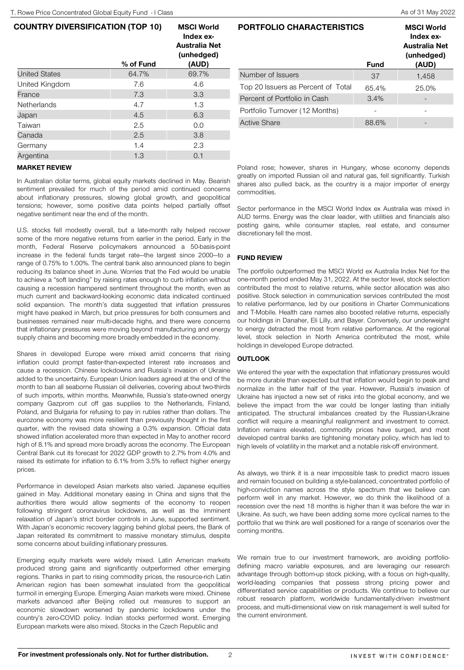# COUNTRY DIVERSIFICATION (TOP 10)

|                      | % of Fund | Index ex-<br>Australia Net<br>(unhedged)<br>(AUD) |
|----------------------|-----------|---------------------------------------------------|
| <b>United States</b> | 64.7%     | 69.7%                                             |
| United Kingdom       | 7.6       | 4.6                                               |
| France               | 7.3       | 3.3                                               |
| Netherlands          | 4.7       | 1.3                                               |
| Japan                | 4.5       | 6.3                                               |
| Taiwan               | 2.5       | 0.0                                               |
| Canada               | 2.5       | 3.8                                               |
| Germany              | 1.4       | 2.3                                               |
| Argentina            | 1.3       | 0.1                                               |

MSCI World

## MARKET REVIEW

In Australian dollar terms, global equity markets declined in May. Bearish sentiment prevailed for much of the period amid continued concerns about inflationary pressures, slowing global growth, and geopolitical tensions; however, some positive data points helped partially offset negative sentiment near the end of the month.

U.S. stocks fell modestly overall, but a late-month rally helped recover some of the more negative returns from earlier in the period. Early in the month, Federal Reserve policymakers announced a 50-basis-point increase in the federal funds target rate—the largest since 2000—to a range of 0.75% to 1.00%. The central bank also announced plans to begin reducing its balance sheet in June. Worries that the Fed would be unable to achieve a "soft landing" by raising rates enough to curb inflation without causing a recession hampered sentiment throughout the month, even as much current and backward-looking economic data indicated continued solid expansion. The month's data suggested that inflation pressures might have peaked in March, but price pressures for both consumers and businesses remained near multi-decade highs, and there were concerns that inflationary pressures were moving beyond manufacturing and energy supply chains and becoming more broadly embedded in the economy.

Shares in developed Europe were mixed amid concerns that rising inflation could prompt faster-than-expected interest rate increases and cause a recession. Chinese lockdowns and Russia's invasion of Ukraine added to the uncertainty. European Union leaders agreed at the end of the month to ban all seaborne Russian oil deliveries, covering about two-thirds of such imports, within months. Meanwhile, Russia's state-owned energy company Gazprom cut off gas supplies to the Netherlands, Finland, Poland, and Bulgaria for refusing to pay in rubles rather than dollars. The eurozone economy was more resilient than previously thought in the first quarter, with the revised data showing a 0.3% expansion. Official data showed inflation accelerated more than expected in May to another record high of 8.1% and spread more broadly across the economy. The European Central Bank cut its forecast for 2022 GDP growth to 2.7% from 4.0% and raised its estimate for inflation to 6.1% from 3.5% to reflect higher energy prices.

Performance in developed Asian markets also varied. Japanese equities gained in May. Additional monetary easing in China and signs that the authorities there would allow segments of the economy to reopen following stringent coronavirus lockdowns, as well as the imminent relaxation of Japan's strict border controls in June, supported sentiment. With Japan's economic recovery lagging behind global peers, the Bank of Japan reiterated its commitment to massive monetary stimulus, despite some concerns about building inflationary pressures.

Emerging equity markets were widely mixed. Latin American markets produced strong gains and significantly outperformed other emerging regions. Thanks in part to rising commodity prices, the resource-rich Latin American region has been somewhat insulated from the geopolitical turmoil in emerging Europe. Emerging Asian markets were mixed. Chinese markets advanced after Beijing rolled out measures to support an economic slowdown worsened by pandemic lockdowns under the country's zero-COVID policy. Indian stocks performed worst. Emerging European markets were also mixed. Stocks in the Czech Republic and

| PORTFOLIO CHARACTERISTICS          | <b>MSCI World</b><br>Index ex-<br><b>Australia Net</b><br>(unhedged)<br>(AUD) |       |  |
|------------------------------------|-------------------------------------------------------------------------------|-------|--|
| Number of Issuers                  | 37                                                                            | 1,458 |  |
| Top 20 Issuers as Percent of Total | 65.4%                                                                         | 25.0% |  |
| Percent of Portfolio in Cash       | 3.4%                                                                          |       |  |
| Portfolio Turnover (12 Months)     |                                                                               |       |  |
| <b>Active Share</b>                | 88.6%                                                                         |       |  |

Poland rose; however, shares in Hungary, whose economy depends greatly on imported Russian oil and natural gas, fell significantly. Turkish shares also pulled back, as the country is a major importer of energy commodities.

Sector performance in the MSCI World Index ex Australia was mixed in AUD terms. Energy was the clear leader, with utilities and financials also posting gains, while consumer staples, real estate, and consumer discretionary fell the most.

#### FUND REVIEW

The portfolio outperformed the MSCI World ex Australia Index Net for the one-month period ended May 31, 2022. At the sector level, stock selection contributed the most to relative returns, while sector allocation was also positive. Stock selection in communication services contributed the most to relative performance, led by our positions in Charter Communications and T-Mobile. Health care names also boosted relative returns, especially our holdings in Danaher, Eli Lilly, and Bayer. Conversely, our underweight to energy detracted the most from relative performance. At the regional level, stock selection in North America contributed the most, while holdings in developed Europe detracted.

#### **OUTLOOK**

We entered the year with the expectation that inflationary pressures would be more durable than expected but that inflation would begin to peak and normalize in the latter half of the year. However, Russia's invasion of Ukraine has injected a new set of risks into the global economy, and we believe the impact from the war could be longer lasting than initially anticipated. The structural imbalances created by the Russian-Ukraine conflict will require a meaningful realignment and investment to correct. Inflation remains elevated, commodity prices have surged, and most developed central banks are tightening monetary policy, which has led to high levels of volatility in the market and a notable risk-off environment.

As always, we think it is a near impossible task to predict macro issues and remain focused on building a style-balanced, concentrated portfolio of high-conviction names across the style spectrum that we believe can perform well in any market. However, we do think the likelihood of a recession over the next 18 months is higher than it was before the war in Ukraine. As such, we have been adding some more cyclical names to the portfolio that we think are well positioned for a range of scenarios over the coming months.

We remain true to our investment framework, are avoiding portfoliodefining macro variable exposures, and are leveraging our research advantage through bottom-up stock picking, with a focus on high-quality, world-leading companies that possess strong pricing power and differentiated service capabilities or products. We continue to believe our robust research platform, worldwide fundamentally-driven investment process, and multi-dimensional view on risk management is well suited for the current environment.